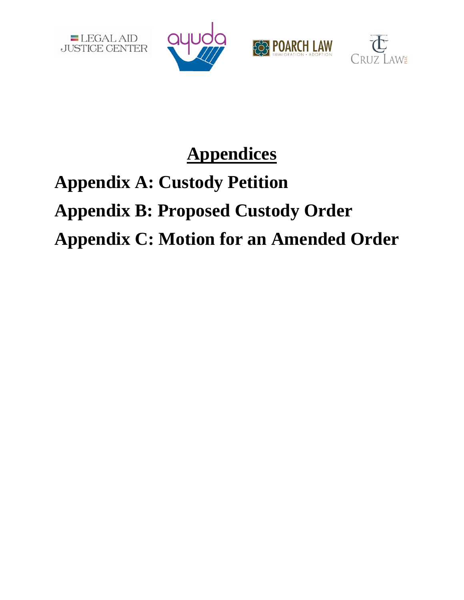







# **Appendices**

# **Appendix A: Custody Petition Appendix B: Proposed Custody Order Appendix C: Motion for an Amended Order**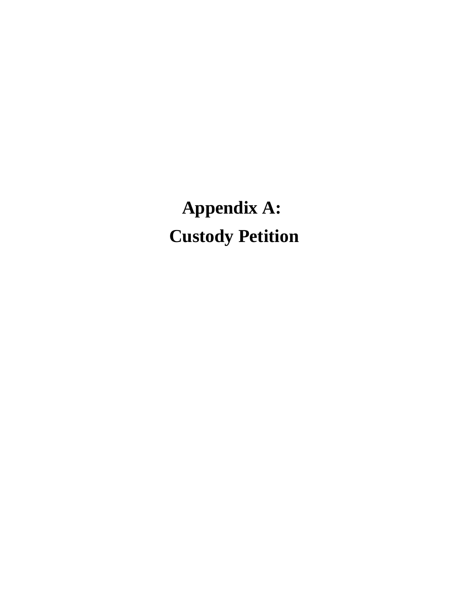**Appendix A: Custody Petition**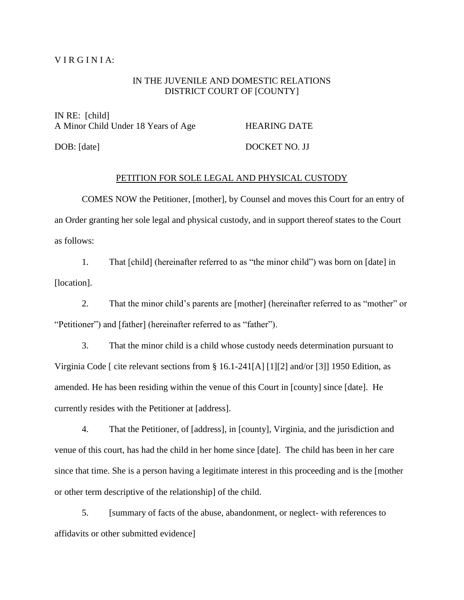### $VIR GINIA:$

## IN THE JUVENILE AND DOMESTIC RELATIONS DISTRICT COURT OF [COUNTY]

IN RE: [child] A Minor Child Under 18 Years of Age HEARING DATE

DOB: [date] DOCKET NO. JJ

### PETITION FOR SOLE LEGAL AND PHYSICAL CUSTODY

COMES NOW the Petitioner, [mother], by Counsel and moves this Court for an entry of an Order granting her sole legal and physical custody, and in support thereof states to the Court as follows:

1. That [child] (hereinafter referred to as "the minor child") was born on [date] in [location].

2. That the minor child's parents are [mother] (hereinafter referred to as "mother" or "Petitioner") and [father] (hereinafter referred to as "father").

3. That the minor child is a child whose custody needs determination pursuant to Virginia Code [ cite relevant sections from § 16.1-241[A] [1][2] and/or [3]] 1950 Edition, as amended. He has been residing within the venue of this Court in [county] since [date]. He currently resides with the Petitioner at [address].

4. That the Petitioner, of [address], in [county], Virginia, and the jurisdiction and venue of this court, has had the child in her home since [date]. The child has been in her care since that time. She is a person having a legitimate interest in this proceeding and is the [mother or other term descriptive of the relationship] of the child.

5. [summary of facts of the abuse, abandonment, or neglect- with references to affidavits or other submitted evidence]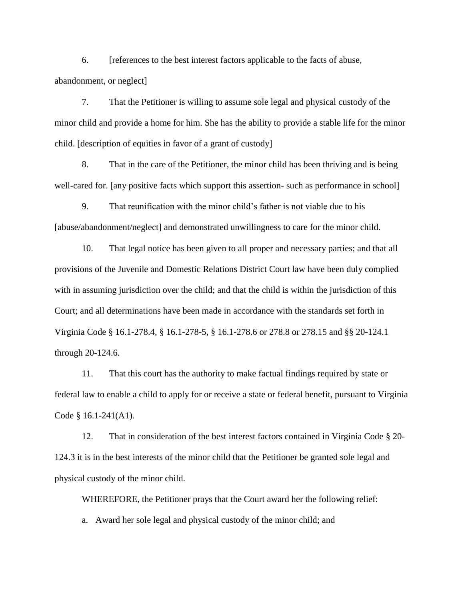6. [references to the best interest factors applicable to the facts of abuse, abandonment, or neglect]

7. That the Petitioner is willing to assume sole legal and physical custody of the minor child and provide a home for him. She has the ability to provide a stable life for the minor child. [description of equities in favor of a grant of custody]

8. That in the care of the Petitioner, the minor child has been thriving and is being well-cared for. [any positive facts which support this assertion- such as performance in school]

9. That reunification with the minor child's father is not viable due to his [abuse/abandonment/neglect] and demonstrated unwillingness to care for the minor child.

10. That legal notice has been given to all proper and necessary parties; and that all provisions of the Juvenile and Domestic Relations District Court law have been duly complied with in assuming jurisdiction over the child; and that the child is within the jurisdiction of this Court; and all determinations have been made in accordance with the standards set forth in Virginia Code § 16.1-278.4, § 16.1-278-5, § 16.1-278.6 or 278.8 or 278.15 and §§ 20-124.1 through 20-124.6.

11. That this court has the authority to make factual findings required by state or federal law to enable a child to apply for or receive a state or federal benefit, pursuant to Virginia Code § 16.1-241(A1).

12. That in consideration of the best interest factors contained in Virginia Code § 20- 124.3 it is in the best interests of the minor child that the Petitioner be granted sole legal and physical custody of the minor child.

WHEREFORE, the Petitioner prays that the Court award her the following relief:

a. Award her sole legal and physical custody of the minor child; and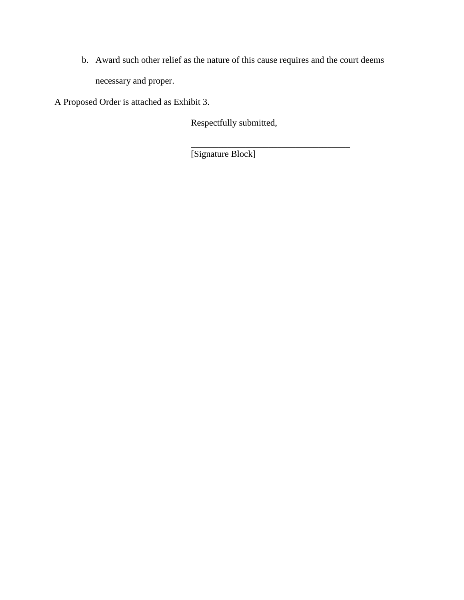b. Award such other relief as the nature of this cause requires and the court deems necessary and proper.

A Proposed Order is attached as Exhibit 3.

Respectfully submitted,

\_\_\_\_\_\_\_\_\_\_\_\_\_\_\_\_\_\_\_\_\_\_\_\_\_\_\_\_\_\_\_\_\_\_\_

[Signature Block]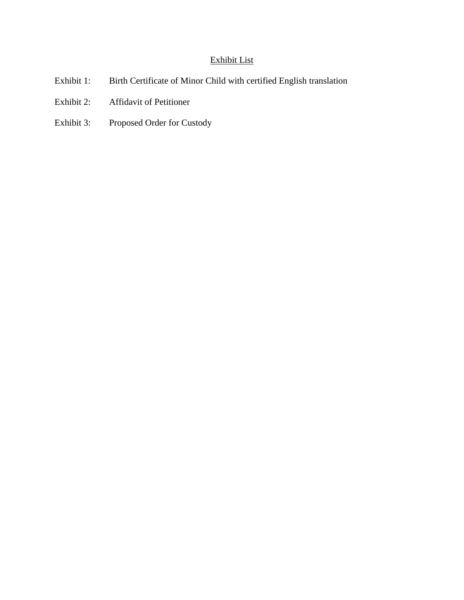# Exhibit List

- Exhibit 1: Birth Certificate of Minor Child with certified English translation
- Exhibit 2: Affidavit of Petitioner
- Exhibit 3: Proposed Order for Custody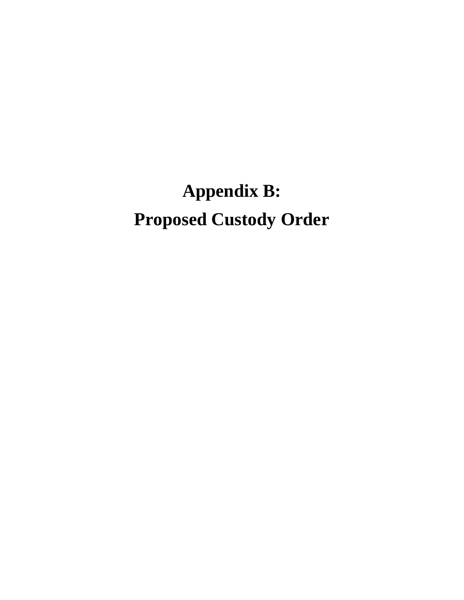# **Appendix B: Proposed Custody Order**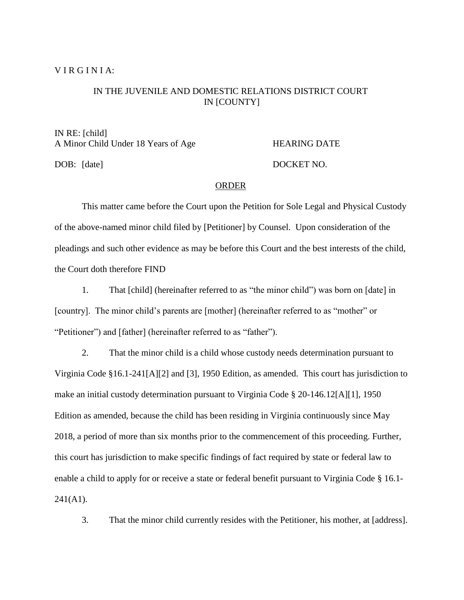### VIRGINIA:

# IN THE JUVENILE AND DOMESTIC RELATIONS DISTRICT COURT IN [COUNTY]

IN RE: [child] A Minor Child Under 18 Years of Age HEARING DATE

DOB: [date] DOCKET NO.

## ORDER

This matter came before the Court upon the Petition for Sole Legal and Physical Custody of the above-named minor child filed by [Petitioner] by Counsel. Upon consideration of the pleadings and such other evidence as may be before this Court and the best interests of the child, the Court doth therefore FIND

1. That [child] (hereinafter referred to as "the minor child") was born on [date] in [country]. The minor child's parents are [mother] (hereinafter referred to as "mother" or "Petitioner") and [father] (hereinafter referred to as "father").

2. That the minor child is a child whose custody needs determination pursuant to Virginia Code §16.1-241[A][2] and [3], 1950 Edition, as amended. This court has jurisdiction to make an initial custody determination pursuant to Virginia Code § 20-146.12[A][1], 1950 Edition as amended, because the child has been residing in Virginia continuously since May 2018, a period of more than six months prior to the commencement of this proceeding. Further, this court has jurisdiction to make specific findings of fact required by state or federal law to enable a child to apply for or receive a state or federal benefit pursuant to Virginia Code § 16.1-  $241(A1)$ .

3. That the minor child currently resides with the Petitioner, his mother, at [address].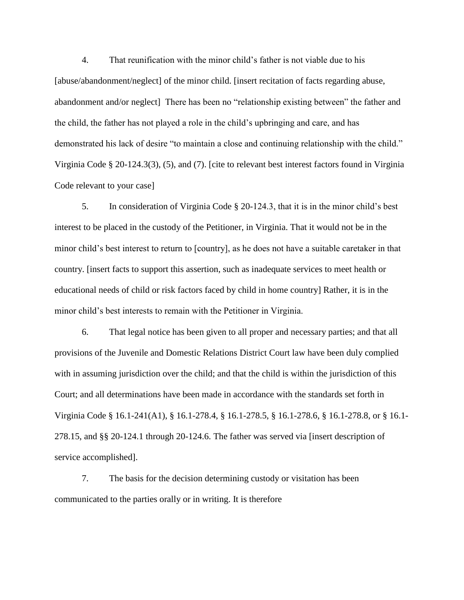4. That reunification with the minor child's father is not viable due to his [abuse/abandonment/neglect] of the minor child. [insert recitation of facts regarding abuse, abandonment and/or neglect] There has been no "relationship existing between" the father and the child, the father has not played a role in the child's upbringing and care, and has demonstrated his lack of desire "to maintain a close and continuing relationship with the child." Virginia Code § 20-124.3(3), (5), and (7). [cite to relevant best interest factors found in Virginia Code relevant to your case]

5. In consideration of Virginia Code § 20-124.3, that it is in the minor child's best interest to be placed in the custody of the Petitioner, in Virginia. That it would not be in the minor child's best interest to return to [country], as he does not have a suitable caretaker in that country. [insert facts to support this assertion, such as inadequate services to meet health or educational needs of child or risk factors faced by child in home country] Rather, it is in the minor child's best interests to remain with the Petitioner in Virginia.

6. That legal notice has been given to all proper and necessary parties; and that all provisions of the Juvenile and Domestic Relations District Court law have been duly complied with in assuming jurisdiction over the child; and that the child is within the jurisdiction of this Court; and all determinations have been made in accordance with the standards set forth in Virginia Code § 16.1-241(A1), § 16.1-278.4, § 16.1-278.5, § 16.1-278.6, § 16.1-278.8, or § 16.1- 278.15, and §§ 20-124.1 through 20-124.6. The father was served via [insert description of service accomplished].

7. The basis for the decision determining custody or visitation has been communicated to the parties orally or in writing. It is therefore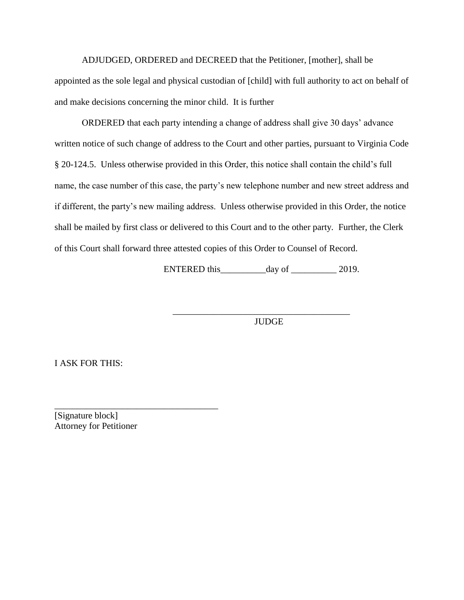ADJUDGED, ORDERED and DECREED that the Petitioner, [mother], shall be appointed as the sole legal and physical custodian of [child] with full authority to act on behalf of and make decisions concerning the minor child. It is further

ORDERED that each party intending a change of address shall give 30 days' advance written notice of such change of address to the Court and other parties, pursuant to Virginia Code § 20-124.5. Unless otherwise provided in this Order, this notice shall contain the child's full name, the case number of this case, the party's new telephone number and new street address and if different, the party's new mailing address. Unless otherwise provided in this Order, the notice shall be mailed by first class or delivered to this Court and to the other party. Further, the Clerk of this Court shall forward three attested copies of this Order to Counsel of Record.

ENTERED this day of \_\_\_\_\_\_\_\_\_\_\_ 2019.

JUDGE

 $\overline{\phantom{a}}$  , and the set of the set of the set of the set of the set of the set of the set of the set of the set of the set of the set of the set of the set of the set of the set of the set of the set of the set of the s

I ASK FOR THIS:

[Signature block] Attorney for Petitioner

\_\_\_\_\_\_\_\_\_\_\_\_\_\_\_\_\_\_\_\_\_\_\_\_\_\_\_\_\_\_\_\_\_\_\_\_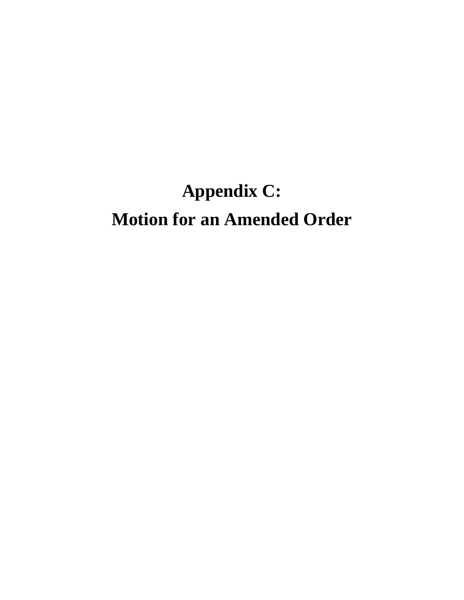# **Appendix C: Motion for an Amended Order**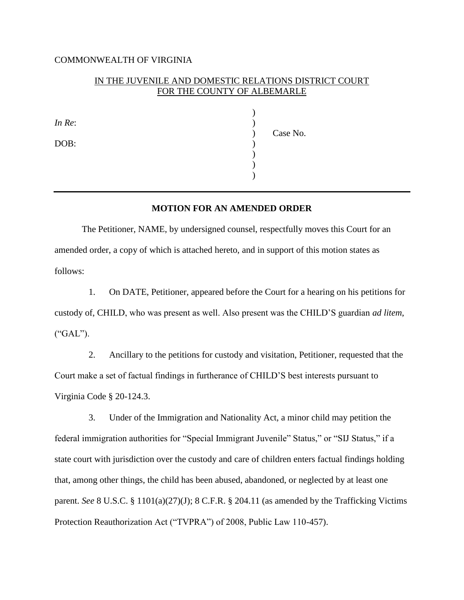### COMMONWEALTH OF VIRGINIA

# IN THE JUVENILE AND DOMESTIC RELATIONS DISTRICT COURT FOR THE COUNTY OF ALBEMARLE

*In Re*: )

DOB:  $)$ 

 ) ) Case No. ) ) )

# **MOTION FOR AN AMENDED ORDER**

The Petitioner, NAME, by undersigned counsel, respectfully moves this Court for an amended order, a copy of which is attached hereto, and in support of this motion states as follows:

1. On DATE, Petitioner, appeared before the Court for a hearing on his petitions for custody of, CHILD, who was present as well. Also present was the CHILD'S guardian *ad litem*, ("GAL").

2. Ancillary to the petitions for custody and visitation, Petitioner, requested that the Court make a set of factual findings in furtherance of CHILD'S best interests pursuant to Virginia Code § 20-124.3.

3. Under of the Immigration and Nationality Act, a minor child may petition the federal immigration authorities for "Special Immigrant Juvenile" Status," or "SIJ Status," if a state court with jurisdiction over the custody and care of children enters factual findings holding that, among other things, the child has been abused, abandoned, or neglected by at least one parent. *See* 8 U.S.C. § 1101(a)(27)(J); 8 C.F.R. § 204.11 (as amended by the Trafficking Victims Protection Reauthorization Act ("TVPRA") of 2008, Public Law 110-457).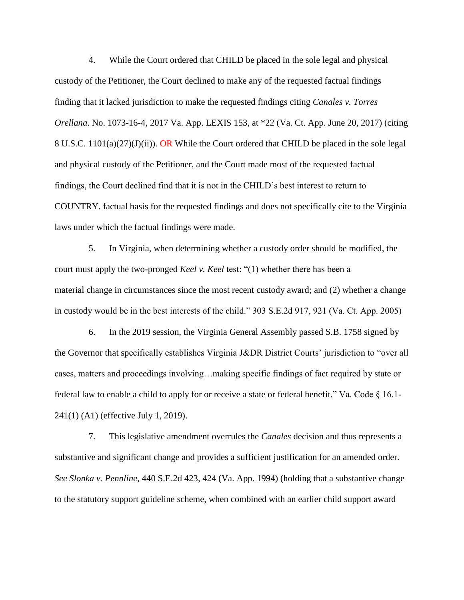4. While the Court ordered that CHILD be placed in the sole legal and physical custody of the Petitioner, the Court declined to make any of the requested factual findings finding that it lacked jurisdiction to make the requested findings citing *Canales v. Torres Orellana*. No. 1073-16-4, 2017 Va. App. LEXIS 153, at \*22 (Va. Ct. App. June 20, 2017) (citing 8 U.S.C. 1101(a)(27)(J)(ii)). OR While the Court ordered that CHILD be placed in the sole legal and physical custody of the Petitioner, and the Court made most of the requested factual findings, the Court declined find that it is not in the CHILD's best interest to return to COUNTRY. factual basis for the requested findings and does not specifically cite to the Virginia laws under which the factual findings were made.

5. In Virginia, when determining whether a custody order should be modified, the court must apply the two-pronged *Keel v. Keel* test: "(1) whether there has been a material change in circumstances since the most recent custody award; and (2) whether a change in custody would be in the best interests of the child." 303 S.E.2d 917, 921 (Va. Ct. App. 2005)

6. In the 2019 session, the Virginia General Assembly passed S.B. 1758 signed by the Governor that specifically establishes Virginia J&DR District Courts' jurisdiction to "over all cases, matters and proceedings involving…making specific findings of fact required by state or federal law to enable a child to apply for or receive a state or federal benefit." Va. Code § 16.1- 241(1) (A1) (effective July 1, 2019).

7. This legislative amendment overrules the *Canales* decision and thus represents a substantive and significant change and provides a sufficient justification for an amended order. *See Slonka v. Pennline*, 440 S.E.2d 423, 424 (Va. App. 1994) (holding that a substantive change to the statutory support guideline scheme, when combined with an earlier child support award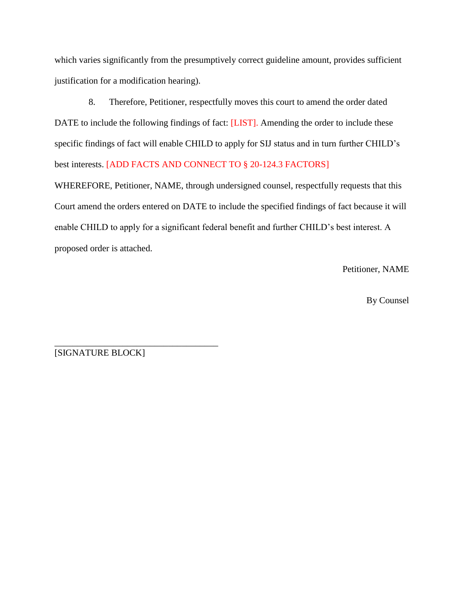which varies significantly from the presumptively correct guideline amount, provides sufficient justification for a modification hearing).

8. Therefore, Petitioner, respectfully moves this court to amend the order dated DATE to include the following findings of fact: [LIST]. Amending the order to include these specific findings of fact will enable CHILD to apply for SIJ status and in turn further CHILD's best interests. [ADD FACTS AND CONNECT TO § 20-124.3 FACTORS]

WHEREFORE, Petitioner, NAME, through undersigned counsel, respectfully requests that this Court amend the orders entered on DATE to include the specified findings of fact because it will enable CHILD to apply for a significant federal benefit and further CHILD's best interest. A proposed order is attached.

Petitioner, NAME

By Counsel

\_\_\_\_\_\_\_\_\_\_\_\_\_\_\_\_\_\_\_\_\_\_\_\_\_\_\_\_\_\_\_\_\_\_\_\_ [SIGNATURE BLOCK]